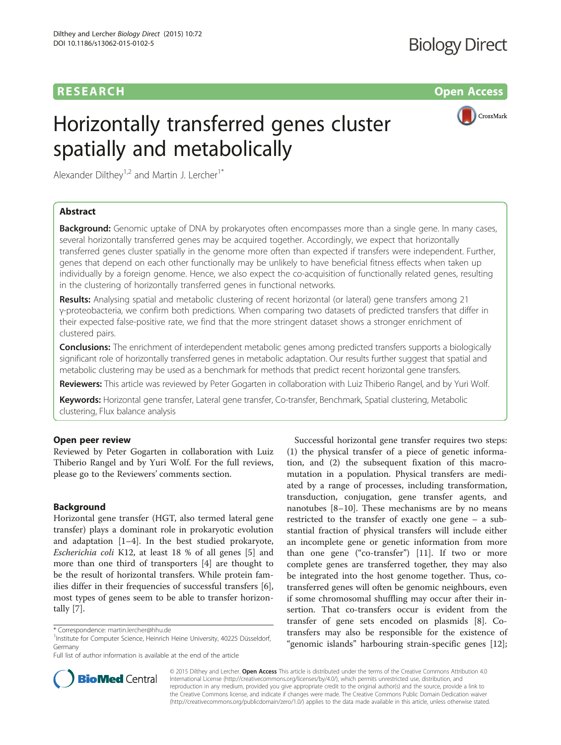## <span id="page-0-0"></span>RESEARCH **RESEARCH CONSUMING ACCESS**

# Horizontally transferred genes cluster spatially and metabolically



Alexander Dilthey<sup>1,2</sup> and Martin J. Lercher<sup>1\*</sup>

## Abstract

**Background:** Genomic uptake of DNA by prokaryotes often encompasses more than a single gene. In many cases, several horizontally transferred genes may be acquired together. Accordingly, we expect that horizontally transferred genes cluster spatially in the genome more often than expected if transfers were independent. Further, genes that depend on each other functionally may be unlikely to have beneficial fitness effects when taken up individually by a foreign genome. Hence, we also expect the co-acquisition of functionally related genes, resulting in the clustering of horizontally transferred genes in functional networks.

Results: Analysing spatial and metabolic clustering of recent horizontal (or lateral) gene transfers among 21 γ-proteobacteria, we confirm both predictions. When comparing two datasets of predicted transfers that differ in their expected false-positive rate, we find that the more stringent dataset shows a stronger enrichment of clustered pairs.

**Conclusions:** The enrichment of interdependent metabolic genes among predicted transfers supports a biologically significant role of horizontally transferred genes in metabolic adaptation. Our results further suggest that spatial and metabolic clustering may be used as a benchmark for methods that predict recent horizontal gene transfers.

Reviewers: This article was reviewed by Peter Gogarten in collaboration with Luiz Thiberio Rangel, and by Yuri Wolf.

Keywords: Horizontal gene transfer, Lateral gene transfer, Co-transfer, Benchmark, Spatial clustering, Metabolic clustering, Flux balance analysis

## Open peer review

Reviewed by Peter Gogarten in collaboration with Luiz Thiberio Rangel and by Yuri Wolf. For the full reviews, please go to the Reviewers' comments section.

## Background

Horizontal gene transfer (HGT, also termed lateral gene transfer) plays a dominant role in prokaryotic evolution and adaptation [[1](#page-7-0)–[4](#page-7-0)]. In the best studied prokaryote, Escherichia coli K12, at least 18 % of all genes [\[5](#page-7-0)] and more than one third of transporters [\[4\]](#page-7-0) are thought to be the result of horizontal transfers. While protein families differ in their frequencies of successful transfers [\[6](#page-7-0)], most types of genes seem to be able to transfer horizontally [[7\]](#page-7-0).

Successful horizontal gene transfer requires two steps: (1) the physical transfer of a piece of genetic information, and (2) the subsequent fixation of this macromutation in a population. Physical transfers are mediated by a range of processes, including transformation, transduction, conjugation, gene transfer agents, and nanotubes [\[8](#page-7-0)–[10\]](#page-7-0). These mechanisms are by no means restricted to the transfer of exactly one gene – a substantial fraction of physical transfers will include either an incomplete gene or genetic information from more than one gene ("co-transfer") [\[11\]](#page-7-0). If two or more complete genes are transferred together, they may also be integrated into the host genome together. Thus, cotransferred genes will often be genomic neighbours, even if some chromosomal shuffling may occur after their insertion. That co-transfers occur is evident from the transfer of gene sets encoded on plasmids [[8\]](#page-7-0). Cotransfers may also be responsible for the existence of "genomic islands" harbouring strain-specific genes [\[12](#page-7-0)];



© 2015 Dilthey and Lercher. Open Access This article is distributed under the terms of the Creative Commons Attribution 4.0 International License [\(http://creativecommons.org/licenses/by/4.0/](http://creativecommons.org/licenses/by/4.0/)), which permits unrestricted use, distribution, and reproduction in any medium, provided you give appropriate credit to the original author(s) and the source, provide a link to the Creative Commons license, and indicate if changes were made. The Creative Commons Public Domain Dedication waiver [\(http://creativecommons.org/publicdomain/zero/1.0/](http://creativecommons.org/publicdomain/zero/1.0/)) applies to the data made available in this article, unless otherwise stated.

<sup>\*</sup> Correspondence: [martin.lercher@hhu.de](mailto:martin.lercher@hhu.de) <sup>1</sup>

<sup>&</sup>lt;sup>1</sup>Institute for Computer Science, Heinrich Heine University, 40225 Düsseldorf, Germany

Full list of author information is available at the end of the article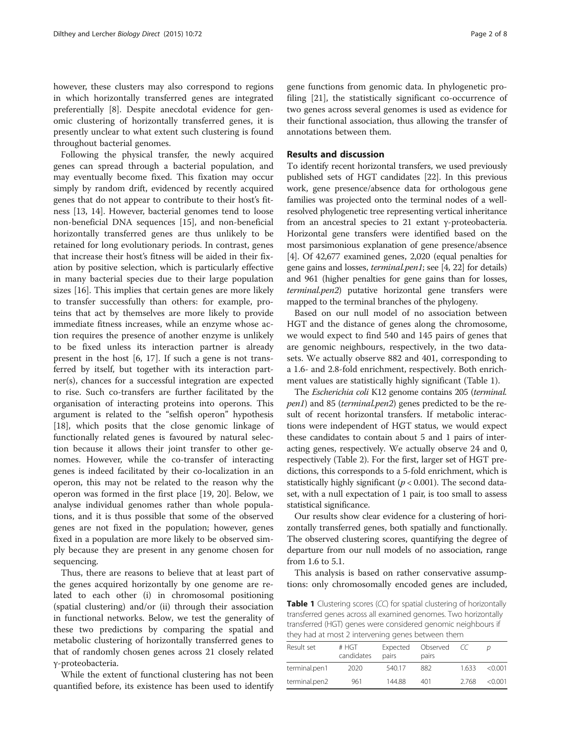<span id="page-1-0"></span>however, these clusters may also correspond to regions in which horizontally transferred genes are integrated preferentially [[8\]](#page-7-0). Despite anecdotal evidence for genomic clustering of horizontally transferred genes, it is presently unclear to what extent such clustering is found throughout bacterial genomes.

Following the physical transfer, the newly acquired genes can spread through a bacterial population, and may eventually become fixed. This fixation may occur simply by random drift, evidenced by recently acquired genes that do not appear to contribute to their host's fitness [[13, 14\]](#page-7-0). However, bacterial genomes tend to loose non-beneficial DNA sequences [[15](#page-7-0)], and non-beneficial horizontally transferred genes are thus unlikely to be retained for long evolutionary periods. In contrast, genes that increase their host's fitness will be aided in their fixation by positive selection, which is particularly effective in many bacterial species due to their large population sizes [[16\]](#page-7-0). This implies that certain genes are more likely to transfer successfully than others: for example, proteins that act by themselves are more likely to provide immediate fitness increases, while an enzyme whose action requires the presence of another enzyme is unlikely to be fixed unless its interaction partner is already present in the host [\[6](#page-7-0), [17\]](#page-7-0). If such a gene is not transferred by itself, but together with its interaction partner(s), chances for a successful integration are expected to rise. Such co-transfers are further facilitated by the organisation of interacting proteins into operons. This argument is related to the "selfish operon" hypothesis [[18\]](#page-7-0), which posits that the close genomic linkage of functionally related genes is favoured by natural selection because it allows their joint transfer to other genomes. However, while the co-transfer of interacting genes is indeed facilitated by their co-localization in an operon, this may not be related to the reason why the operon was formed in the first place [\[19, 20](#page-7-0)]. Below, we analyse individual genomes rather than whole populations, and it is thus possible that some of the observed genes are not fixed in the population; however, genes fixed in a population are more likely to be observed simply because they are present in any genome chosen for sequencing.

Thus, there are reasons to believe that at least part of the genes acquired horizontally by one genome are related to each other (i) in chromosomal positioning (spatial clustering) and/or (ii) through their association in functional networks. Below, we test the generality of these two predictions by comparing the spatial and metabolic clustering of horizontally transferred genes to that of randomly chosen genes across 21 closely related γ-proteobacteria.

While the extent of functional clustering has not been quantified before, its existence has been used to identify gene functions from genomic data. In phylogenetic profiling [\[21](#page-7-0)], the statistically significant co-occurrence of two genes across several genomes is used as evidence for their functional association, thus allowing the transfer of annotations between them.

## Results and discussion

To identify recent horizontal transfers, we used previously published sets of HGT candidates [\[22](#page-7-0)]. In this previous work, gene presence/absence data for orthologous gene families was projected onto the terminal nodes of a wellresolved phylogenetic tree representing vertical inheritance from an ancestral species to 21 extant γ-proteobacteria. Horizontal gene transfers were identified based on the most parsimonious explanation of gene presence/absence [[4\]](#page-7-0). Of 42,677 examined genes, 2,020 (equal penalties for gene gains and losses, terminal.pen1; see [\[4](#page-7-0), [22](#page-7-0)] for details) and 961 (higher penalties for gene gains than for losses, terminal.pen2) putative horizontal gene transfers were mapped to the terminal branches of the phylogeny.

Based on our null model of no association between HGT and the distance of genes along the chromosome, we would expect to find 540 and 145 pairs of genes that are genomic neighbours, respectively, in the two datasets. We actually observe 882 and 401, corresponding to a 1.6- and 2.8-fold enrichment, respectively. Both enrichment values are statistically highly significant (Table 1).

The Escherichia coli K12 genome contains 205 (terminal. pen1) and 85 (terminal.pen2) genes predicted to be the result of recent horizontal transfers. If metabolic interactions were independent of HGT status, we would expect these candidates to contain about 5 and 1 pairs of interacting genes, respectively. We actually observe 24 and 0, respectively (Table [2\)](#page-2-0). For the first, larger set of HGT predictions, this corresponds to a 5-fold enrichment, which is statistically highly significant ( $p < 0.001$ ). The second dataset, with a null expectation of 1 pair, is too small to assess statistical significance.

Our results show clear evidence for a clustering of horizontally transferred genes, both spatially and functionally. The observed clustering scores, quantifying the degree of departure from our null models of no association, range from 1.6 to 5.1.

This analysis is based on rather conservative assumptions: only chromosomally encoded genes are included,

**Table 1** Clustering scores (CC) for spatial clustering of horizontally transferred genes across all examined genomes. Two horizontally transferred (HGT) genes were considered genomic neighbours if they had at most 2 intervening genes between them

| Result set    | # HGT<br>candidates | Expected<br>pairs | Observed<br>pairs | CC    |         |
|---------------|---------------------|-------------------|-------------------|-------|---------|
| terminal.pen1 | 2020                | 540.17            | 882               | 1.633 | < 0.001 |
| terminal.pen2 | 961                 | 144.88            | 401               | 2.768 | < 0.001 |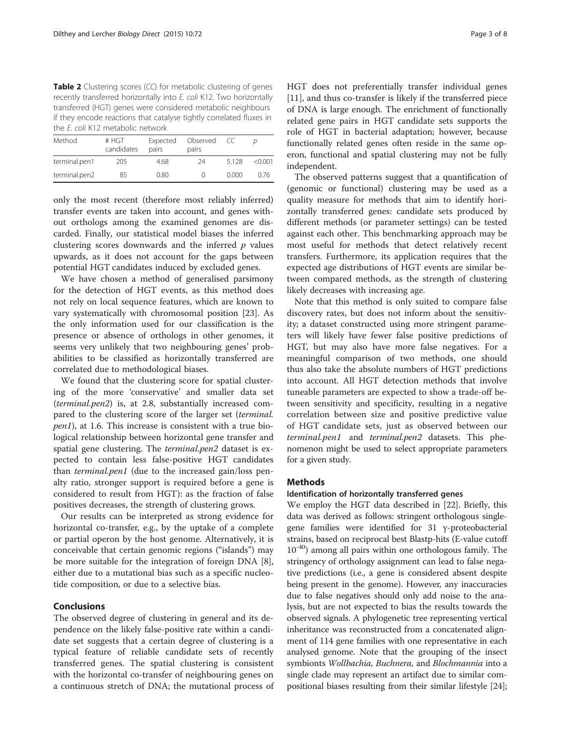<span id="page-2-0"></span>Table 2 Clustering scores (CC) for metabolic clustering of genes recently transferred horizontally into E. coli K12. Two horizontally transferred (HGT) genes were considered metabolic neighbours if they encode reactions that catalyse tightly correlated fluxes in the E. coli K12 metabolic network

| Method        | # HGT<br>candidates | Expected<br>pairs | Observed<br>pairs |       |           |
|---------------|---------------------|-------------------|-------------------|-------|-----------|
| terminal.pen1 | 205                 | 4.68              | 24                | 5128  | $<$ 0.001 |
| terminal.pen2 | 85                  | 0.80              |                   | 0.000 | 0.76      |

only the most recent (therefore most reliably inferred) transfer events are taken into account, and genes without orthologs among the examined genomes are discarded. Finally, our statistical model biases the inferred clustering scores downwards and the inferred  $p$  values upwards, as it does not account for the gaps between potential HGT candidates induced by excluded genes.

We have chosen a method of generalised parsimony for the detection of HGT events, as this method does not rely on local sequence features, which are known to vary systematically with chromosomal position [\[23](#page-7-0)]. As the only information used for our classification is the presence or absence of orthologs in other genomes, it seems very unlikely that two neighbouring genes' probabilities to be classified as horizontally transferred are correlated due to methodological biases.

We found that the clustering score for spatial clustering of the more 'conservative' and smaller data set (terminal.pen2) is, at 2.8, substantially increased compared to the clustering score of the larger set (terminal. pen1), at 1.6. This increase is consistent with a true biological relationship between horizontal gene transfer and spatial gene clustering. The terminal.pen2 dataset is expected to contain less false-positive HGT candidates than terminal.pen1 (due to the increased gain/loss penalty ratio, stronger support is required before a gene is considered to result from HGT): as the fraction of false positives decreases, the strength of clustering grows.

Our results can be interpreted as strong evidence for horizontal co-transfer, e.g., by the uptake of a complete or partial operon by the host genome. Alternatively, it is conceivable that certain genomic regions ("islands") may be more suitable for the integration of foreign DNA [\[8](#page-7-0)], either due to a mutational bias such as a specific nucleotide composition, or due to a selective bias.

## Conclusions

The observed degree of clustering in general and its dependence on the likely false-positive rate within a candidate set suggests that a certain degree of clustering is a typical feature of reliable candidate sets of recently transferred genes. The spatial clustering is consistent with the horizontal co-transfer of neighbouring genes on a continuous stretch of DNA; the mutational process of HGT does not preferentially transfer individual genes [[11\]](#page-7-0), and thus co-transfer is likely if the transferred piece of DNA is large enough. The enrichment of functionally related gene pairs in HGT candidate sets supports the role of HGT in bacterial adaptation; however, because functionally related genes often reside in the same operon, functional and spatial clustering may not be fully independent.

The observed patterns suggest that a quantification of (genomic or functional) clustering may be used as a quality measure for methods that aim to identify horizontally transferred genes: candidate sets produced by different methods (or parameter settings) can be tested against each other. This benchmarking approach may be most useful for methods that detect relatively recent transfers. Furthermore, its application requires that the expected age distributions of HGT events are similar between compared methods, as the strength of clustering likely decreases with increasing age.

Note that this method is only suited to compare false discovery rates, but does not inform about the sensitivity; a dataset constructed using more stringent parameters will likely have fewer false positive predictions of HGT, but may also have more false negatives. For a meaningful comparison of two methods, one should thus also take the absolute numbers of HGT predictions into account. All HGT detection methods that involve tuneable parameters are expected to show a trade-off between sensitivity and specificity, resulting in a negative correlation between size and positive predictive value of HGT candidate sets, just as observed between our terminal.pen1 and terminal.pen2 datasets. This phenomenon might be used to select appropriate parameters for a given study.

## **Methods**

## Identification of horizontally transferred genes

We employ the HGT data described in [\[22\]](#page-7-0). Briefly, this data was derived as follows: stringent orthologous singlegene families were identified for 31 γ-proteobacterial strains, based on reciprocal best Blastp-hits (E-value cutoff  $10^{-40}$ ) among all pairs within one orthologous family. The stringency of orthology assignment can lead to false negative predictions (i.e., a gene is considered absent despite being present in the genome). However, any inaccuracies due to false negatives should only add noise to the analysis, but are not expected to bias the results towards the observed signals. A phylogenetic tree representing vertical inheritance was reconstructed from a concatenated alignment of 114 gene families with one representative in each analysed genome. Note that the grouping of the insect symbionts Wollbachia, Buchnera, and Blochmannia into a single clade may represent an artifact due to similar compositional biases resulting from their similar lifestyle [[24](#page-7-0)];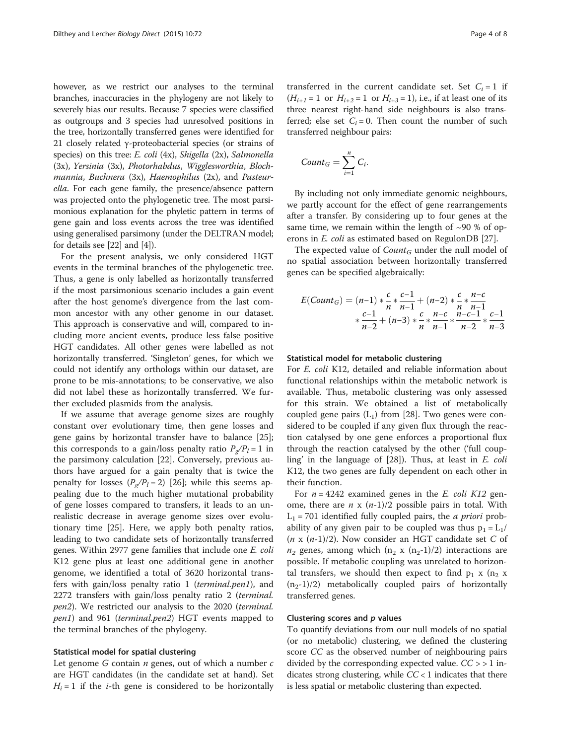however, as we restrict our analyses to the terminal branches, inaccuracies in the phylogeny are not likely to severely bias our results. Because 7 species were classified as outgroups and 3 species had unresolved positions in the tree, horizontally transferred genes were identified for 21 closely related γ-proteobacterial species (or strains of species) on this tree: E. coli (4x), Shigella (2x), Salmonella (3x), Yersinia (3x), Photorhabdus, Wigglesworthia, Blochmannia, Buchnera (3x), Haemophilus (2x), and Pasteurella. For each gene family, the presence/absence pattern was projected onto the phylogenetic tree. The most parsimonious explanation for the phyletic pattern in terms of gene gain and loss events across the tree was identified using generalised parsimony (under the DELTRAN model; for details see [[22](#page-7-0)] and [[4](#page-7-0)]).

For the present analysis, we only considered HGT events in the terminal branches of the phylogenetic tree. Thus, a gene is only labelled as horizontally transferred if the most parsimonious scenario includes a gain event after the host genome's divergence from the last common ancestor with any other genome in our dataset. This approach is conservative and will, compared to including more ancient events, produce less false positive HGT candidates. All other genes were labelled as not horizontally transferred. 'Singleton' genes, for which we could not identify any orthologs within our dataset, are prone to be mis-annotations; to be conservative, we also did not label these as horizontally transferred. We further excluded plasmids from the analysis.

If we assume that average genome sizes are roughly constant over evolutionary time, then gene losses and gene gains by horizontal transfer have to balance [\[25](#page-7-0)]; this corresponds to a gain/loss penalty ratio  $P_{\alpha}/P_{\alpha} = 1$  in the parsimony calculation [\[22\]](#page-7-0). Conversely, previous authors have argued for a gain penalty that is twice the penalty for losses  $(P_g/P_l = 2)$  [\[26](#page-7-0)]; while this seems appealing due to the much higher mutational probability of gene losses compared to transfers, it leads to an unrealistic decrease in average genome sizes over evolutionary time [[25\]](#page-7-0). Here, we apply both penalty ratios, leading to two candidate sets of horizontally transferred genes. Within 2977 gene families that include one E. coli K12 gene plus at least one additional gene in another genome, we identified a total of 3620 horizontal transfers with gain/loss penalty ratio 1 (terminal.pen1), and 2272 transfers with gain/loss penalty ratio 2 (terminal. pen2). We restricted our analysis to the 2020 (terminal. pen1) and 961 (terminal.pen2) HGT events mapped to the terminal branches of the phylogeny.

## Statistical model for spatial clustering

Let genome  $G$  contain  $n$  genes, out of which a number  $c$ are HGT candidates (in the candidate set at hand). Set  $H_i = 1$  if the *i*-th gene is considered to be horizontally transferred in the current candidate set. Set  $C_i = 1$  if  $(H_{i+1} = 1 \text{ or } H_{i+2} = 1 \text{ or } H_{i+3} = 1)$ , i.e., if at least one of its three nearest right-hand side neighbours is also transferred; else set  $C_i = 0$ . Then count the number of such transferred neighbour pairs:

$$
Count_G = \sum_{i=1}^n C_i.
$$

By including not only immediate genomic neighbours, we partly account for the effect of gene rearrangements after a transfer. By considering up to four genes at the same time, we remain within the length of  $\sim$ 90 % of operons in E. coli as estimated based on RegulonDB [\[27\]](#page-7-0).

The expected value of  $Count_G$  under the null model of no spatial association between horizontally transferred genes can be specified algebraically:

$$
E(Count_G) = (n-1) * \frac{c}{n} * \frac{c-1}{n-1} + (n-2) * \frac{c}{n} * \frac{n-c}{n-1}
$$
  
 \* 
$$
\frac{c-1}{n-2} + (n-3) * \frac{c}{n} * \frac{n-c}{n-1} * \frac{n-c-1}{n-2} * \frac{c-1}{n-3}
$$

## Statistical model for metabolic clustering

For E. coli K12, detailed and reliable information about functional relationships within the metabolic network is available. Thus, metabolic clustering was only assessed for this strain. We obtained a list of metabolically coupled gene pairs  $(L_1)$  from [[28\]](#page-7-0). Two genes were considered to be coupled if any given flux through the reaction catalysed by one gene enforces a proportional flux through the reaction catalysed by the other ('full coupling' in the language of [\[28](#page-7-0)]). Thus, at least in E. coli K12, the two genes are fully dependent on each other in their function.

For  $n = 4242$  examined genes in the E. coli K12 genome, there are  $n \times (n-1)/2$  possible pairs in total. With  $L_1$  = 701 identified fully coupled pairs, the *a priori* probability of any given pair to be coupled was thus  $p_1 = L_1$ /  $(n \times (n-1)/2)$ . Now consider an HGT candidate set C of  $n_2$  genes, among which (n<sub>2</sub> x (n<sub>2</sub>-1)/2) interactions are possible. If metabolic coupling was unrelated to horizontal transfers, we should then expect to find  $p_1$  x ( $n_2$  x  $(n_2-1)/2$ ) metabolically coupled pairs of horizontally transferred genes.

## Clustering scores and  $p$  values

To quantify deviations from our null models of no spatial (or no metabolic) clustering, we defined the clustering score CC as the observed number of neighbouring pairs divided by the corresponding expected value.  $CC > > 1$  indicates strong clustering, while  $CC < 1$  indicates that there is less spatial or metabolic clustering than expected.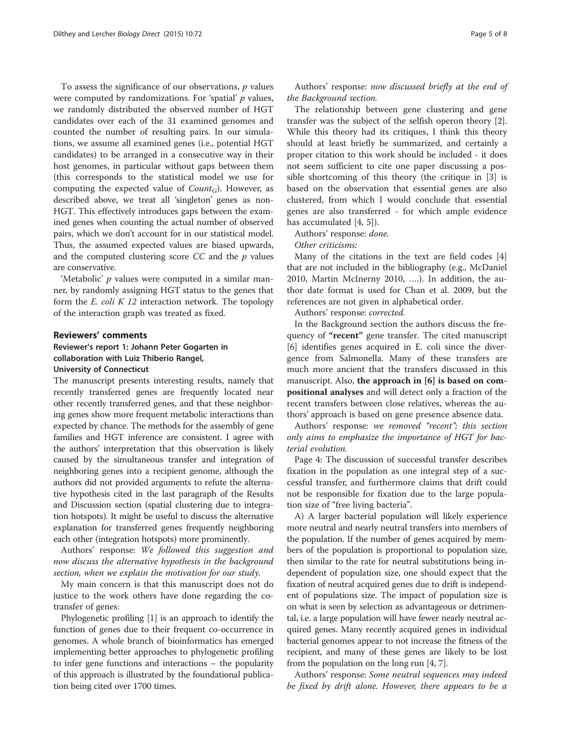To assess the significance of our observations,  $p$  values were computed by randomizations. For 'spatial'  $p$  values, we randomly distributed the observed number of HGT candidates over each of the 31 examined genomes and counted the number of resulting pairs. In our simulations, we assume all examined genes (i.e., potential HGT candidates) to be arranged in a consecutive way in their host genomes, in particular without gaps between them (this corresponds to the statistical model we use for computing the expected value of  $Count_G$ ). However, as described above, we treat all 'singleton' genes as non-HGT. This effectively introduces gaps between the examined genes when counting the actual number of observed pairs, which we don't account for in our statistical model. Thus, the assumed expected values are biased upwards, and the computed clustering score  $CC$  and the  $p$  values are conservative.

'Metabolic'  $p$  values were computed in a similar manner, by randomly assigning HGT status to the genes that form the  $E.$  coli  $K$  12 interaction network. The topology of the interaction graph was treated as fixed.

## Reviewers' comments

## Reviewer's report 1: Johann Peter Gogarten in collaboration with Luiz Thiberio Rangel, University of Connecticut

The manuscript presents interesting results, namely that recently transferred genes are frequently located near other recently transferred genes, and that these neighboring genes show more frequent metabolic interactions than expected by chance. The methods for the assembly of gene families and HGT inference are consistent. I agree with the authors' interpretation that this observation is likely caused by the simultaneous transfer and integration of neighboring genes into a recipient genome, although the authors did not provided arguments to refute the alternative hypothesis cited in the last paragraph of the [Results](#page-1-0) [and Discussion](#page-1-0) section (spatial clustering due to integration hotspots). It might be useful to discuss the alternative explanation for transferred genes frequently neighboring each other (integration hotspots) more prominently.

Authors' response: We followed this suggestion and now discuss the alternative hypothesis in the background section, when we explain the motivation for our study.

My main concern is that this manuscript does not do justice to the work others have done regarding the cotransfer of genes:

Phylogenetic profiling [\[1](#page-7-0)] is an approach to identify the function of genes due to their frequent co-occurrence in genomes. A whole branch of bioinformatics has emerged implementing better approaches to phylogenetic profiling to infer gene functions and interactions – the popularity of this approach is illustrated by the foundational publication being cited over 1700 times.

Authors' response: now discussed briefly at the end of the [Background](#page-0-0) section.

The relationship between gene clustering and gene transfer was the subject of the selfish operon theory [\[2](#page-7-0)]. While this theory had its critiques, I think this theory should at least briefly be summarized, and certainly a proper citation to this work should be included - it does not seem sufficient to cite one paper discussing a possible shortcoming of this theory (the critique in [\[3](#page-7-0)] is based on the observation that essential genes are also clustered, from which I would conclude that essential genes are also transferred - for which ample evidence has accumulated [\[4, 5](#page-7-0)]).

Authors' response: done.

Other criticisms:

Many of the citations in the text are field codes [\[4](#page-7-0)] that are not included in the bibliography (e.g., McDaniel 2010, Martin McInerny 2010, ….). In addition, the author date format is used for Chan et al. 2009, but the references are not given in alphabetical order.

Authors' response: corrected.

In the [Background](#page-0-0) section the authors discuss the frequency of "recent" gene transfer. The cited manuscript [[6\]](#page-7-0) identifies genes acquired in E. coli since the divergence from Salmonella. Many of these transfers are much more ancient that the transfers discussed in this manuscript. Also, the approach in [[6](#page-7-0)] is based on compositional analyses and will detect only a fraction of the recent transfers between close relatives, whereas the authors' approach is based on gene presence absence data.

Authors' response: we removed "recent"; this section only aims to emphasize the importance of HGT for bacterial evolution.

Page 4: The discussion of successful transfer describes fixation in the population as one integral step of a successful transfer, and furthermore claims that drift could not be responsible for fixation due to the large population size of "free living bacteria".

A) A larger bacterial population will likely experience more neutral and nearly neutral transfers into members of the population. If the number of genes acquired by members of the population is proportional to population size, then similar to the rate for neutral substitutions being independent of population size, one should expect that the fixation of neutral acquired genes due to drift is independent of populations size. The impact of population size is on what is seen by selection as advantageous or detrimental, i.e. a large population will have fewer nearly neutral acquired genes. Many recently acquired genes in individual bacterial genomes appear to not increase the fitness of the recipient, and many of these genes are likely to be lost from the population on the long run [\[4](#page-7-0), [7](#page-7-0)].

Authors' response: Some neutral sequences may indeed be fixed by drift alone. However, there appears to be a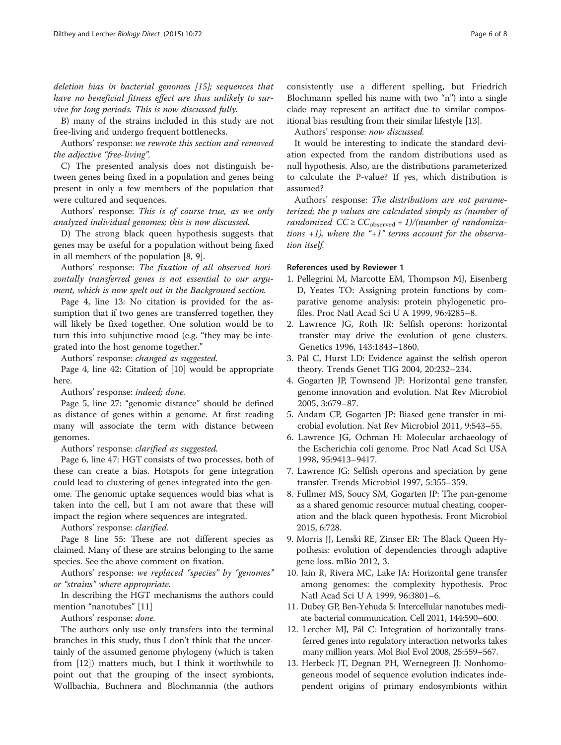deletion bias in bacterial genomes [\[15](#page-7-0)]; sequences that have no beneficial fitness effect are thus unlikely to survive for long periods. This is now discussed fully.

B) many of the strains included in this study are not free-living and undergo frequent bottlenecks.

Authors' response: we rewrote this section and removed the adjective "free-living".

C) The presented analysis does not distinguish between genes being fixed in a population and genes being present in only a few members of the population that were cultured and sequences.

Authors' response: This is of course true, as we only analyzed individual genomes; this is now discussed.

D) The strong black queen hypothesis suggests that genes may be useful for a population without being fixed in all members of the population [[8, 9\]](#page-7-0).

Authors' response: The fixation of all observed horizontally transferred genes is not essential to our argument, which is now spelt out in the [Background](#page-0-0) section.

Page 4, line 13: No citation is provided for the assumption that if two genes are transferred together, they will likely be fixed together. One solution would be to turn this into subjunctive mood (e.g. "they may be integrated into the host genome together."

Authors' response: changed as suggested.

Page 4, line 42: Citation of [[10](#page-7-0)] would be appropriate here.

Authors' response: indeed; done.

Page 5, line 27: "genomic distance" should be defined as distance of genes within a genome. At first reading many will associate the term with distance between genomes.

Authors' response: clarified as suggested.

Page 6, line 47: HGT consists of two processes, both of these can create a bias. Hotspots for gene integration could lead to clustering of genes integrated into the genome. The genomic uptake sequences would bias what is taken into the cell, but I am not aware that these will impact the region where sequences are integrated.

Authors' response: clarified.

Page 8 line 55: These are not different species as claimed. Many of these are strains belonging to the same species. See the above comment on fixation.

Authors' response: we replaced "species" by "genomes" or "strains" where appropriate.

In describing the HGT mechanisms the authors could mention "nanotubes" [\[11](#page-7-0)]

Authors' response: done.

The authors only use only transfers into the terminal branches in this study, thus I don't think that the uncertainly of the assumed genome phylogeny (which is taken from [\[12\]](#page-7-0)) matters much, but I think it worthwhile to point out that the grouping of the insect symbionts, Wollbachia, Buchnera and Blochmannia (the authors

consistently use a different spelling, but Friedrich Blochmann spelled his name with two "n") into a single clade may represent an artifact due to similar compositional bias resulting from their similar lifestyle [\[13\]](#page-7-0).

Authors' response: now discussed.

It would be interesting to indicate the standard deviation expected from the random distributions used as null hypothesis. Also, are the distributions parameterized to calculate the P-value? If yes, which distribution is assumed?

Authors' response: The distributions are not parameterized; the p values are calculated simply as (number of randomized  $CC \ge CC_{observed} + 1$ //(number of randomizations  $+1$ ), where the " $+1$ " terms account for the observation itself.

## References used by Reviewer 1

- 1. Pellegrini M, Marcotte EM, Thompson MJ, Eisenberg D, Yeates TO: Assigning protein functions by comparative genome analysis: protein phylogenetic profiles. Proc Natl Acad Sci U A 1999, 96:4285–8.
- 2. Lawrence JG, Roth JR: Selfish operons: horizontal transfer may drive the evolution of gene clusters. Genetics 1996, 143:1843–1860.
- 3. Pál C, Hurst LD: Evidence against the selfish operon theory. Trends Genet TIG 2004, 20:232–234.
- 4. Gogarten JP, Townsend JP: Horizontal gene transfer, genome innovation and evolution. Nat Rev Microbiol 2005, 3:679–87.
- 5. Andam CP, Gogarten JP: Biased gene transfer in microbial evolution. Nat Rev Microbiol 2011, 9:543–55.
- 6. Lawrence JG, Ochman H: Molecular archaeology of the Escherichia coli genome. Proc Natl Acad Sci USA 1998, 95:9413–9417.
- 7. Lawrence JG: Selfish operons and speciation by gene transfer. Trends Microbiol 1997, 5:355–359.
- 8. Fullmer MS, Soucy SM, Gogarten JP: The pan-genome as a shared genomic resource: mutual cheating, cooperation and the black queen hypothesis. Front Microbiol 2015, 6:728.
- 9. Morris JJ, Lenski RE, Zinser ER: The Black Queen Hypothesis: evolution of dependencies through adaptive gene loss. mBio 2012, 3.
- 10. Jain R, Rivera MC, Lake JA: Horizontal gene transfer among genomes: the complexity hypothesis. Proc Natl Acad Sci U A 1999, 96:3801–6.
- 11. Dubey GP, Ben-Yehuda S: Intercellular nanotubes mediate bacterial communication. Cell 2011, 144:590–600.
- 12. Lercher MJ, Pál C: Integration of horizontally transferred genes into regulatory interaction networks takes many million years. Mol Biol Evol 2008, 25:559–567.
- 13. Herbeck JT, Degnan PH, Wernegreen JJ: Nonhomogeneous model of sequence evolution indicates independent origins of primary endosymbionts within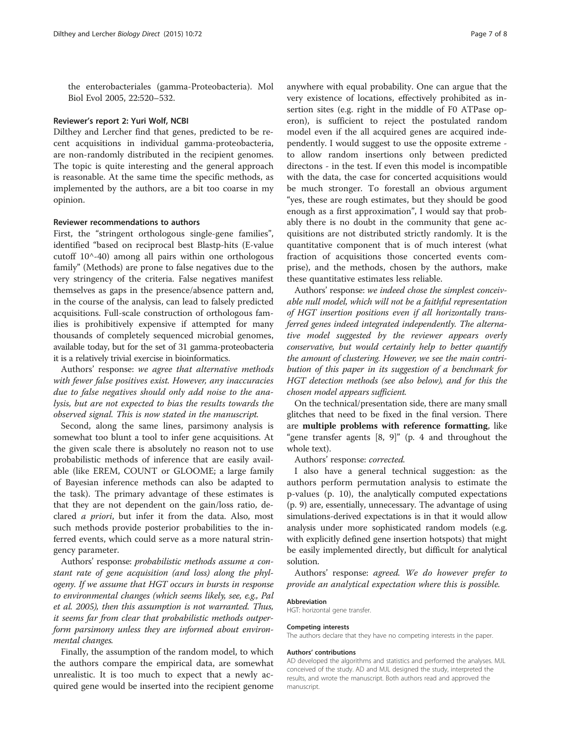the enterobacteriales (gamma-Proteobacteria). Mol Biol Evol 2005, 22:520–532.

#### Reviewer's report 2: Yuri Wolf, NCBI

Dilthey and Lercher find that genes, predicted to be recent acquisitions in individual gamma-proteobacteria, are non-randomly distributed in the recipient genomes. The topic is quite interesting and the general approach is reasonable. At the same time the specific methods, as implemented by the authors, are a bit too coarse in my opinion.

## Reviewer recommendations to authors

First, the "stringent orthologous single-gene families", identified "based on reciprocal best Blastp-hits (E-value cutoff 10^-40) among all pairs within one orthologous family" (Methods) are prone to false negatives due to the very stringency of the criteria. False negatives manifest themselves as gaps in the presence/absence pattern and, in the course of the analysis, can lead to falsely predicted acquisitions. Full-scale construction of orthologous families is prohibitively expensive if attempted for many thousands of completely sequenced microbial genomes, available today, but for the set of 31 gamma-proteobacteria it is a relatively trivial exercise in bioinformatics.

Authors' response: we agree that alternative methods with fewer false positives exist. However, any inaccuracies due to false negatives should only add noise to the analysis, but are not expected to bias the results towards the observed signal. This is now stated in the manuscript.

Second, along the same lines, parsimony analysis is somewhat too blunt a tool to infer gene acquisitions. At the given scale there is absolutely no reason not to use probabilistic methods of inference that are easily available (like EREM, COUNT or GLOOME; a large family of Bayesian inference methods can also be adapted to the task). The primary advantage of these estimates is that they are not dependent on the gain/loss ratio, declared a priori, but infer it from the data. Also, most such methods provide posterior probabilities to the inferred events, which could serve as a more natural stringency parameter.

Authors' response: probabilistic methods assume a constant rate of gene acquisition (and loss) along the phylogeny. If we assume that HGT occurs in bursts in response to environmental changes (which seems likely, see, e.g., Pal et al. 2005), then this assumption is not warranted. Thus, it seems far from clear that probabilistic methods outperform parsimony unless they are informed about environmental changes.

Finally, the assumption of the random model, to which the authors compare the empirical data, are somewhat unrealistic. It is too much to expect that a newly acquired gene would be inserted into the recipient genome anywhere with equal probability. One can argue that the very existence of locations, effectively prohibited as insertion sites (e.g. right in the middle of F0 ATPase operon), is sufficient to reject the postulated random model even if the all acquired genes are acquired independently. I would suggest to use the opposite extreme to allow random insertions only between predicted directons - in the test. If even this model is incompatible with the data, the case for concerted acquisitions would be much stronger. To forestall an obvious argument "yes, these are rough estimates, but they should be good enough as a first approximation", I would say that probably there is no doubt in the community that gene acquisitions are not distributed strictly randomly. It is the quantitative component that is of much interest (what fraction of acquisitions those concerted events comprise), and the methods, chosen by the authors, make these quantitative estimates less reliable.

Authors' response: we indeed chose the simplest conceivable null model, which will not be a faithful representation of HGT insertion positions even if all horizontally transferred genes indeed integrated independently. The alternative model suggested by the reviewer appears overly conservative, but would certainly help to better quantify the amount of clustering. However, we see the main contribution of this paper in its suggestion of a benchmark for HGT detection methods (see also below), and for this the chosen model appears sufficient.

On the technical/presentation side, there are many small glitches that need to be fixed in the final version. There are multiple problems with reference formatting, like "gene transfer agents [\[8](#page-7-0), [9](#page-7-0)]" (p. 4 and throughout the whole text).

Authors' response: corrected.

I also have a general technical suggestion: as the authors perform permutation analysis to estimate the p-values (p. 10), the analytically computed expectations (p. 9) are, essentially, unnecessary. The advantage of using simulations-derived expectations is in that it would allow analysis under more sophisticated random models (e.g. with explicitly defined gene insertion hotspots) that might be easily implemented directly, but difficult for analytical solution.

Authors' response: agreed. We do however prefer to provide an analytical expectation where this is possible.

#### Abbreviation

HGT: horizontal gene transfer.

#### Competing interests

The authors declare that they have no competing interests in the paper.

#### Authors' contributions

AD developed the algorithms and statistics and performed the analyses. MJL conceived of the study. AD and MJL designed the study, interpreted the results, and wrote the manuscript. Both authors read and approved the manuscript.